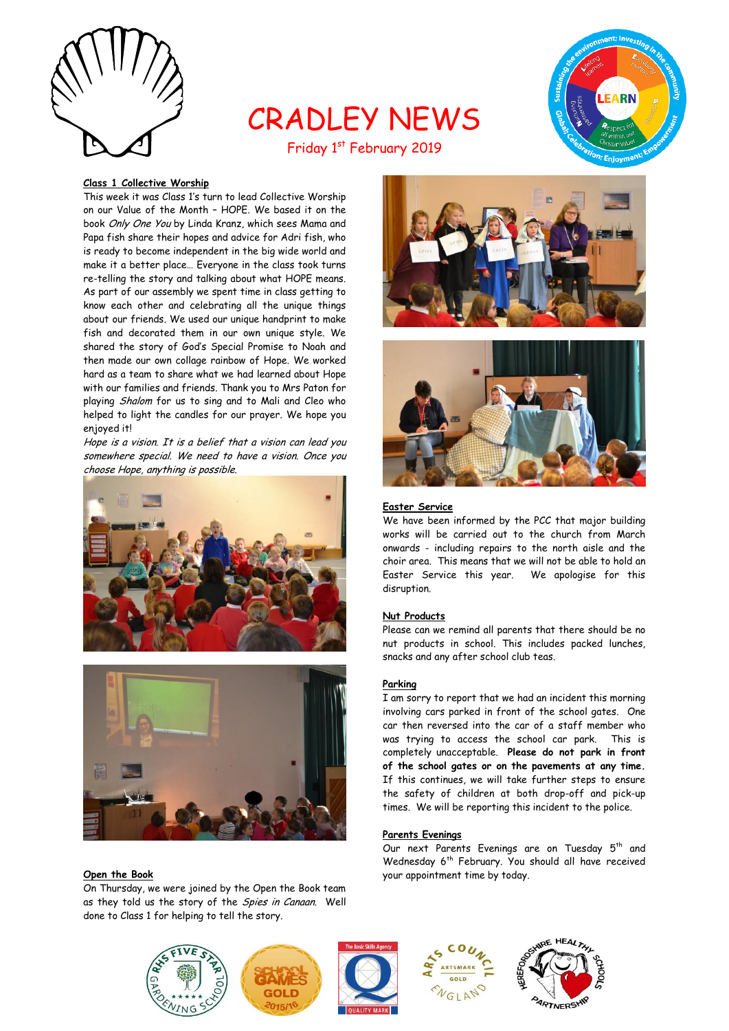

# CRADLEY NEWS Friday 1st February 2019



# **Class 1 Collective Worship**

This week it was Class 1's turn to lead Collective Worship on our Value of the Month – HOPE. We based it on the book Only One You by Linda Kranz, which sees Mama and Papa fish share their hopes and advice for Adri fish, who is ready to become independent in the big wide world and make it a better place… Everyone in the class took turns re-telling the story and talking about what HOPE means. As part of our assembly we spent time in class getting to know each other and celebrating all the unique things about our friends. We used our unique handprint to make fish and decorated them in our own unique style. We shared the story of God's Special Promise to Noah and then made our own collage rainbow of Hope. We worked hard as a team to share what we had learned about Hope with our families and friends. Thank you to Mrs Paton for playing Shalom for us to sing and to Mali and Cleo who helped to light the candles for our prayer. We hope you enjoyed it!

Hope is a vision. It is a belief that a vision can lead you somewhere special. We need to have a vision. Once you choose Hope, anything is possible.





#### **Open the Book**

On Thursday, we were joined by the Open the Book team as they told us the story of the Spies in Canaan. Well done to Class 1 for helping to tell the story.





# **Easter Service**

We have been informed by the PCC that major building works will be carried out to the church from March onwards - including repairs to the north aisle and the choir area. This means that we will not be able to hold an Easter Service this year. We apologise for this disruption.

#### **Nut Products**

Please can we remind all parents that there should be no nut products in school. This includes packed lunches, snacks and any after school club teas.

#### **Parking**

I am sorry to report that we had an incident this morning involving cars parked in front of the school gates. One car then reversed into the car of a staff member who was trying to access the school car park. This is completely unacceptable. **Please do not park in front of the school gates or on the pavements at any time.** If this continues, we will take further steps to ensure the safety of children at both drop-off and pick-up times. We will be reporting this incident to the police.

#### **Parents Evenings**

Our next Parents Evenings are on Tuesday 5<sup>th</sup> and Wednesday 6<sup>th</sup> February. You should all have received your appointment time by today.



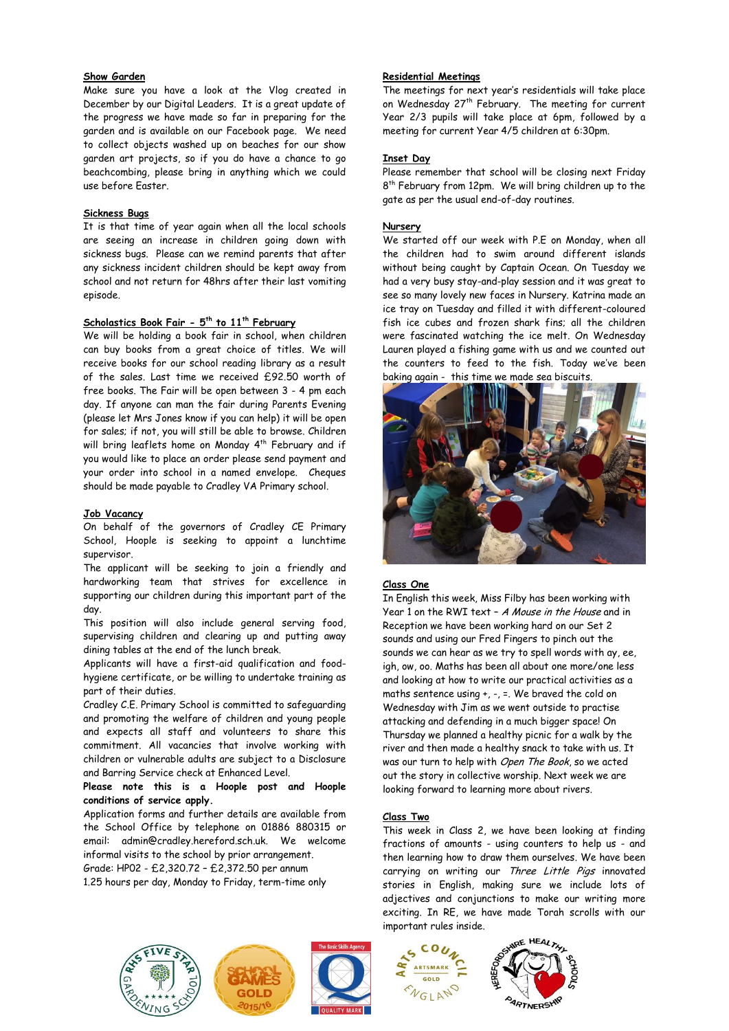# **Show Garden**

Make sure you have a look at the Vlog created in December by our Digital Leaders. It is a great update of the progress we have made so far in preparing for the garden and is available on our Facebook page. We need to collect objects washed up on beaches for our show garden art projects, so if you do have a chance to go beachcombing, please bring in anything which we could use before Easter.

#### **Sickness Bugs**

It is that time of year again when all the local schools are seeing an increase in children going down with sickness bugs. Please can we remind parents that after any sickness incident children should be kept away from school and not return for 48hrs after their last vomiting episode.

#### **Scholastics Book Fair - 5 th to 11th February**

We will be holding a book fair in school, when children can buy books from a great choice of titles. We will receive books for our school reading library as a result of the sales. Last time we received £92.50 worth of free books. The Fair will be open between 3 - 4 pm each day. If anyone can man the fair during Parents Evening (please let Mrs Jones know if you can help) it will be open for sales; if not, you will still be able to browse. Children will bring leaflets home on Monday 4 th February and if you would like to place an order please send payment and your order into school in a named envelope. Cheques should be made payable to Cradley VA Primary school.

#### **Job Vacancy**

On behalf of the governors of Cradley CE Primary School, Hoople is seeking to appoint a lunchtime supervisor.

The applicant will be seeking to join a friendly and hardworking team that strives for excellence in supporting our children during this important part of the day.

This position will also include general serving food, supervising children and clearing up and putting away dining tables at the end of the lunch break.

Applicants will have a first-aid qualification and foodhygiene certificate, or be willing to undertake training as part of their duties.

Cradley C.E. Primary School is committed to safeguarding and promoting the welfare of children and young people and expects all staff and volunteers to share this commitment. All vacancies that involve working with children or vulnerable adults are subject to a Disclosure and Barring Service check at Enhanced Level.

#### **Please note this is a Hoople post and Hoople conditions of service apply.**

Application forms and further details are available from the School Office by telephone on 01886 880315 or email: admin@cradley.hereford.sch.uk. We welcome informal visits to the school by prior arrangement.

Grade: HP02 - £2,320.72 – £2,372.50 per annum

1.25 hours per day, Monday to Friday, term-time only

# **Residential Meetings**

The meetings for next year's residentials will take place on Wednesday 27<sup>th</sup> February. The meeting for current Year 2/3 pupils will take place at 6pm, followed by a meeting for current Year 4/5 children at 6:30pm.

#### **Inset Day**

Please remember that school will be closing next Friday 8 th February from 12pm. We will bring children up to the gate as per the usual end-of-day routines.

#### **Nursery**

We started off our week with P.E on Monday, when all the children had to swim around different islands without being caught by Captain Ocean. On Tuesday we had a very busy stay-and-play session and it was great to see so many lovely new faces in Nursery. Katrina made an ice tray on Tuesday and filled it with different-coloured fish ice cubes and frozen shark fins; all the children were fascinated watching the ice melt. On Wednesday Lauren played a fishing game with us and we counted out the counters to feed to the fish. Today we've been baking again - this time we made sea biscuits.



# **Class One**

In English this week, Miss Filby has been working with Year 1 on the RWI text – A Mouse in the House and in Reception we have been working hard on our Set 2 sounds and using our Fred Fingers to pinch out the sounds we can hear as we try to spell words with ay, ee, igh, ow, oo. Maths has been all about one more/one less and looking at how to write our practical activities as a maths sentence using +, -, =. We braved the cold on Wednesday with Jim as we went outside to practise attacking and defending in a much bigger space! On Thursday we planned a healthy picnic for a walk by the river and then made a healthy snack to take with us. It was our turn to help with Open The Book, so we acted out the story in collective worship. Next week we are looking forward to learning more about rivers.

#### **Class Two**

This week in Class 2, we have been looking at finding fractions of amounts - using counters to help us - and then learning how to draw them ourselves. We have been carrying on writing our Three Little Pigs innovated stories in English, making sure we include lots of adjectives and conjunctions to make our writing more exciting. In RE, we have made Torah scrolls with our important rules inside.







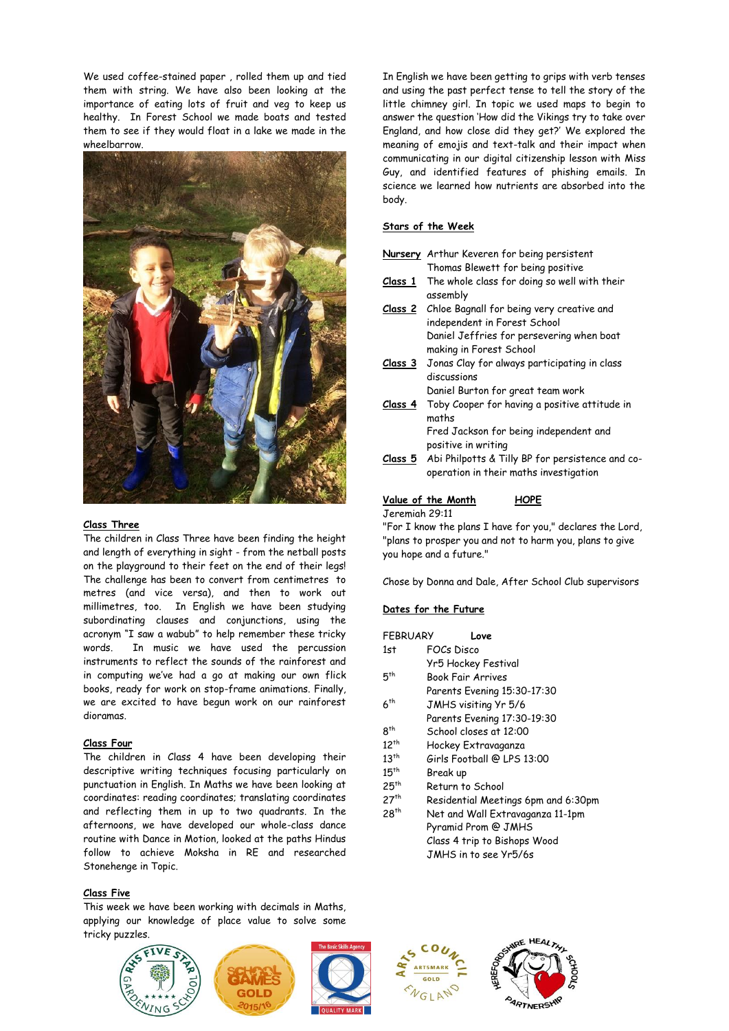We used coffee-stained paper , rolled them up and tied them with string. We have also been looking at the importance of eating lots of fruit and veg to keep us healthy. In Forest School we made boats and tested them to see if they would float in a lake we made in the wheelbarrow.



# **Class Three**

The children in Class Three have been finding the height and length of everything in sight - from the netball posts on the playground to their feet on the end of their legs! The challenge has been to convert from centimetres to metres (and vice versa), and then to work out millimetres, too. In English we have been studying subordinating clauses and conjunctions, using the acronym "I saw a wabub" to help remember these tricky words. In music we have used the percussion instruments to reflect the sounds of the rainforest and in computing we've had a go at making our own flick books, ready for work on stop-frame animations. Finally, we are excited to have begun work on our rainforest dioramas.

# **Class Four**

The children in Class 4 have been developing their descriptive writing techniques focusing particularly on punctuation in English. In Maths we have been looking at coordinates: reading coordinates; translating coordinates and reflecting them in up to two quadrants. In the afternoons, we have developed our whole-class dance routine with Dance in Motion, looked at the paths Hindus follow to achieve Moksha in RE and researched Stonehenge in Topic.

# **Class Five**

This week we have been working with decimals in Maths, applying our knowledge of place value to solve some tricky puzzles.



In English we have been getting to grips with verb tenses and using the past perfect tense to tell the story of the little chimney girl. In topic we used maps to begin to answer the question 'How did the Vikings try to take over England, and how close did they get?' We explored the meaning of emojis and text-talk and their impact when communicating in our digital citizenship lesson with Miss Guy, and identified features of phishing emails. In science we learned how nutrients are absorbed into the body.

#### **Stars of the Week**

- **Nursery** Arthur Keveren for being persistent Thomas Blewett for being positive
- **Class 1** The whole class for doing so well with their assembly
- **Class 2** Chloe Bagnall for being very creative and independent in Forest School Daniel Jeffries for persevering when boat making in Forest School
- **Class 3** Jonas Clay for always participating in class discussions
- Daniel Burton for great team work **Class 4** Toby Cooper for having a positive attitude in maths

Fred Jackson for being independent and positive in writing

**Class 5** Abi Philpotts & Tilly BP for persistence and cooperation in their maths investigation

#### **Value of the Month HOPE**

Jeremiah 29:11

"For I know the plans I have for you," declares the Lord, "plans to prosper you and not to harm you, plans to give you hope and a future."

Chose by Donna and Dale, After School Club supervisors

# **Dates for the Future**

| <b>FFBRUARY</b> | Love                                |
|-----------------|-------------------------------------|
| 1st             | FOCs Disco                          |
|                 | Yr5 Hockey Festival                 |
| 5 <sup>th</sup> | <b>Book Fair Arrives</b>            |
|                 | Parents Evening 15:30-17:30         |
| 6 <sup>th</sup> | JMHS visiting Yr 5/6                |
|                 | Parents Evening 17:30-19:30         |
| 8 <sup>th</sup> | School closes at 12:00              |
| $12^{th}$       | Hockey Extravaganza                 |
| $13^{th}$       | Girls Football @ LPS 13:00          |
| $15^{th}$       | Break up                            |
| $25^{th}$       | Return to School                    |
| $27^{th}$       | Residential Meetings 6pm and 6:30pm |
| $28^{th}$       | Net and Wall Extravaganza 11-1pm    |
|                 | <b>Demond David Q THILO</b>         |

Pyramid Prom @ JMHS Class 4 trip to Bishops Wood JMHS in to see Yr5/6s